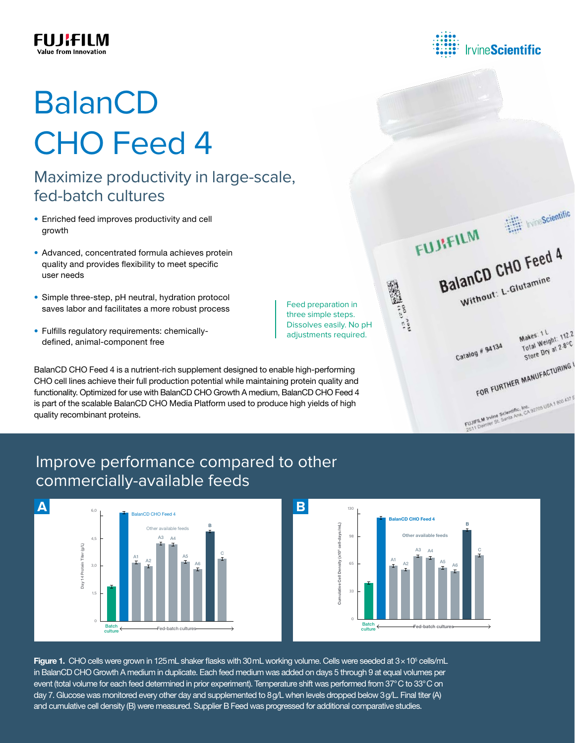

# BalanCD CHO Feed 4

## Maximize productivity in large-scale, fed-batch cultures

- Enriched feed improves productivity and cell growth
- Advanced, concentrated formula achieves protein quality and provides flexibility to meet specific user needs
- Simple three-step, pH neutral, hydration protocol saves labor and facilitates a more robust process
- Fulfills regulatory requirements: chemicallydefined, animal-component free

BalanCD CHO Feed 4 is a nutrient-rich supplement designed to enable high-performing CHO cell lines achieve their full production potential while maintaining protein quality and functionality. Optimized for use with BalanCD CHO Growth A medium, BalanCD CHO Feed 4 is part of the scalable BalanCD CHO Media Platform used to produce high yields of high quality recombinant proteins.

Feed preparation in three simple steps. Dissolves easily. No pH adjustments required.

Makes: 1 L<br>Total Weight: 112.2<br>Total Weight: 12.8°C Makes: 1 L Total Weight: 18°C<br>Total Weight: 28°C<br>Store Dry at 2.8°C Catalog # 94134 FOR FURTHER MANUFACTURING FOR FORT<br>FUJIFILM INTIM Scientific, Inc. 02705 USA 1 800 437 5

BalanCD CHO Feed 4

Without: L-Glutamine

Whe Scientific

## Improve performance compared to other commercially-available feeds





Figure 1. CHO cells were grown in 125mL shaker flasks with 30mL working volume. Cells were seeded at  $3 \times 10^5$  cells/mL in BalanCD CHO Growth A medium in duplicate. Each feed medium was added on days 5 through 9 at equal volumes per event (total volume for each feed determined in prior experiment). Temperature shift was performed from 37°C to 33°C on day 7. Glucose was monitored every other day and supplemented to 8g/L when levels dropped below 3g/L. Final titer (A) and cumulative cell density (B) were measured. Supplier B Feed was progressed for additional comparative studies.



FUJIFILM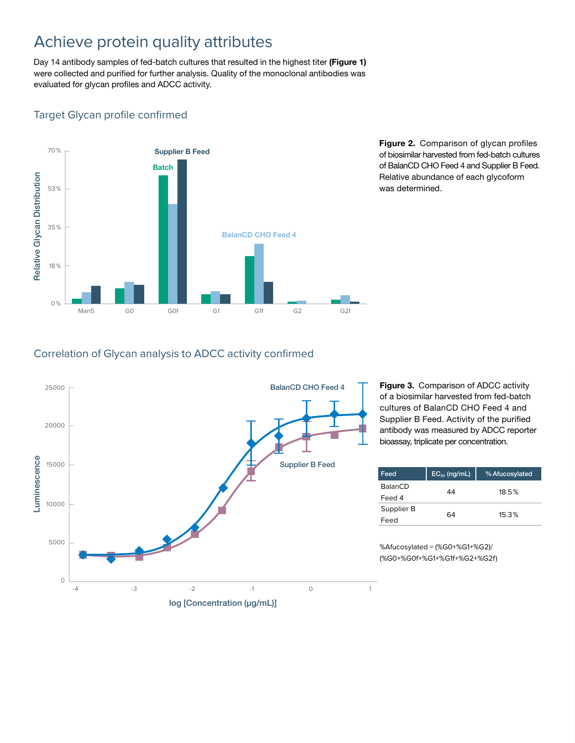## Achieve protein quality attributes

Day 14 antibody samples of fed-batch cultures that resulted in the highest titer (Figure 1) were collected and purified for further analysis. Quality of the monoclonal antibodies was evaluated for glycan profiles and ADCC activity.

#### Target Glycan profile confirmed



Figure 2. Comparison of glycan profiles of biosimilar harvested from fed-batch cultures of BalanCD CHO Feed 4 and Supplier B Feed. Relative abundance of each glycoform was determined.

#### Correlation of Glycan analysis to ADCC activity confirmed



Figure 3. Comparison of ADCC activity of a biosimilar harvested from fed-batch cultures of BalanCD CHO Feed 4 and Supplier B Feed. Activity of the purified antibody was measured by ADCC reporter bioassay, triplicate per concentration.

| Feed           | $EC_{50}$ (ng/mL) | % Afucosylated |  |
|----------------|-------------------|----------------|--|
| <b>BalanCD</b> | 44                | 18.5%          |  |
| Feed 4         |                   |                |  |
| Supplier B     | 64                | 15.3%          |  |
| Feed           |                   |                |  |

%Afucosylated = (%G0+%G1+%G2)/ (%G0+%G0f+%G1+%G1f+%G2+%G2f)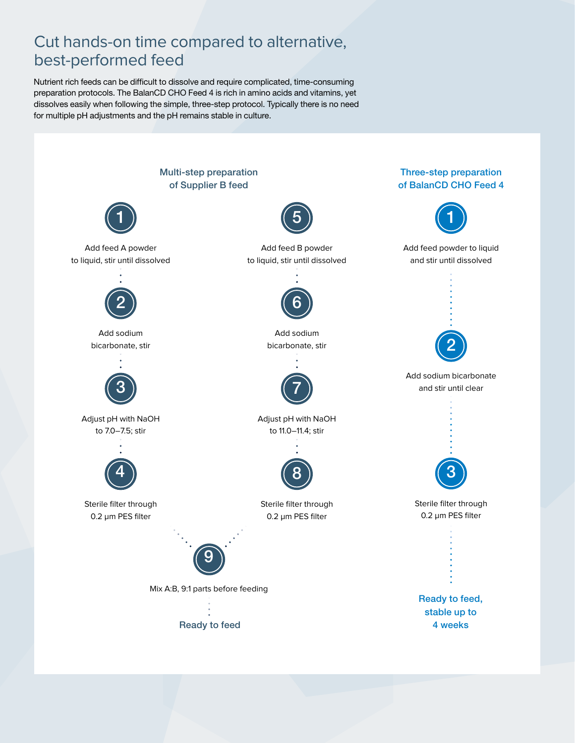## Cut hands-on time compared to alternative, best-performed feed

Nutrient rich feeds can be difficult to dissolve and require complicated, time-consuming preparation protocols. The BalanCD CHO Feed 4 is rich in amino acids and vitamins, yet dissolves easily when following the simple, three-step protocol. Typically there is no need for multiple pH adjustments and the pH remains stable in culture.